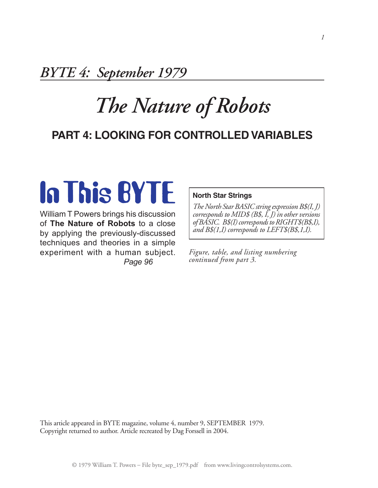## *BYTE 4: September 1979*

# *The Nature of Robots*

### **Part 4: Looking for Controlled Variables**

# **In This BYTE**

William T Powers brings his discussion of **The Nature of Robots** to a close by applying the previously-discussed techniques and theories in a simple experiment with a human subject. *Page 96*

#### **North Star Strings**

*The North Star BASIC string expression B\$(I, J) corresponds to MID\$ (B\$, I, J) in other versions of BASIC. B\$(I) corresponds to RIGHT\$(B\$,I), and B\$(1,I) corresponds to LEFT\$(B\$,1,I).*

*Figure, table, and listing numbering continued from part 3.*

This article appeared in BYTE magazine, volume 4, number 9, SEPTEMBER 1979. Copyright returned to author. Article recreated by Dag Forssell in 2004.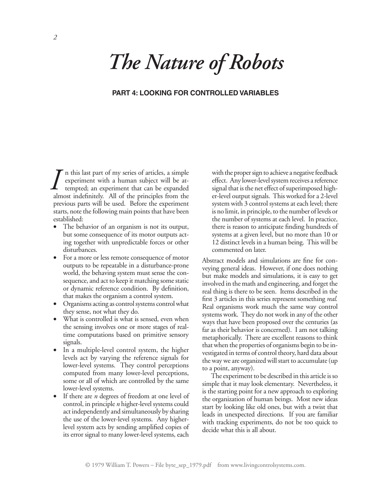# *The Nature of Robots*

#### **Part 4: Looking for Controlled Variables**

n this last part of my series of articles, a simple experiment with a human subject will be attempted; an experiment that can be expanded almost indefinitely. All of the principles from the previous parts will be used. Before the experiment starts, note the following main points that have been established: *I* in this last part of my series of articles, a simple<br>
experiment with a human subject will be at-<br>
tempted; an experiment that can be expanded<br>
expanded a signal that is the net effect of superimposed high-<br>
exploiting

- The behavior of an organism is not its output, but some consequence of its motor outputs acting together with unpredictable forces or other disturbances.
- For a more or less remote consequence of motor outputs to be repeatable in a disturbance-prone world, the behaving system must sense the consequence, and act to keep it matching some static or dynamic reference condition. By definition, that makes the organism a control system.
- • Organisms acting as control systems control what they sense, not what they do.
- What is controlled is what is sensed, even when the sensing involves one or more stages of realtime computations based on primitive sensory signals.
- In a multiple-level control system, the higher levels act by varying the reference signals for lower-level systems. They control perceptions computed from many lower-level perceptions, some or all of which are controlled by the same lower-level systems.
- If there are *n* degrees of freedom at one level of control, in principle *n* higher-level systems could act independently and simultaneously by sharing the use of the lower-level systems. Any higherlevel system acts by sending amplified copies of its error signal to many lower-level systems, each

effect. Any lower-level system receives a reference signal that is the net effect of superimposed higher-level output signals. This worked for a 2-level system with 3 control systems at each level; there is no limit, in principle, to the number of levels or the number of systems at each level. In practice, there is reason to anticipate finding hundreds of systems at a given level, but no more than 10 or 12 distinct levels in a human being. This will be commented on later.

Abstract models and simulations are fine for conveying general ideas. However, if one does nothing but make models and simulations, it is easy to get involved in the math and engineering, and forget the real thing is there to be seen. Items described in the first 3 articles in this series represent something *real.* Real organisms work much the same way control systems work. They do not work in any of the other ways that have been proposed over the centuries (as far as their behavior is concerned). I am not talking metaphorically. There are excellent reasons to think that when the properties of organisms begin to be investigated in terms of control theory, hard data about the way we are organized will start to accumulate (up to a point, anyway).

The experiment to be described in this article is so simple that it may look elementary. Nevertheless, it is the starting point for a new approach to exploring the organization of human beings. Most new ideas start by looking like old ones, but with a twist that leads in unexpected directions. If you are familiar with tracking experiments, do not be too quick to decide what this is all about.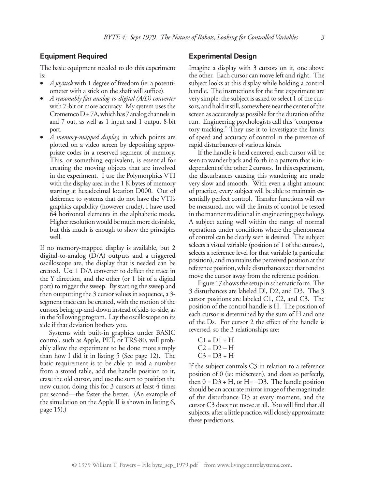#### **Equipment Required**

The basic equipment needed to do this experiment is:

- • *A joystick* with 1 degree of freedom (ie: a potentiometer with a stick on the shaft will suffice).
- • *A reasonably fast analog-to-digital (A/D) converter* with 7-bit or more accuracy. My system uses the Cromemco  $D + 7A$ , which has 7 analog channels in and 7 out, as well as 1 input and 1 output 8-bit port.
- *A memory-mapped display*, in which points are plotted on a video screen by depositing appropriate codes in a reserved segment of memory. This, or something equivalent, is essential for creating the moving objects that are involved in the experiment. I use the Polymorphics VTI with the display area in the 1 K bytes of memory starting at hexadecimal location D000. Out of deference to systems that do not have the VTI's graphics capability (however crude), I have used 64 horizontal elements in the alphabetic mode. Higher resolution would be much more desirable, but this much is enough to show the principles well.

If no memory-mapped display is available, but 2 digital-to-analog (D/A) outputs and a triggered oscilloscope are, the display that is needed can be created. Use 1 D/A converter to deflect the trace in the Y direction, and the other (or 1 bit of a digital port) to trigger the sweep. By starting the sweep and then outputting the 3 cursor values in sequence, a 3 segment trace can be created, with the motion of the cursors being up-and-down instead of side-to-side, as in the following program. Lay the oscilloscope on its side if that deviation bothers you.

Systems with built-in graphics under BASIC control, such as Apple, PET, or TRS-80, will probably allow the experiment to be done more simply than how I did it in listing 5 (See page 12). The basic requirement is to be able to read a number from a stored table, add the handle position to it, erase the old cursor, and use the sum to position the new cursor, doing this for 3 cursors at least 4 times per second—the faster the better. (An example of the simulation on the Apple II is shown in listing 6, page 15).)

#### **Experimental Design**

Imagine a display with 3 cursors on it, one above the other. Each cursor can move left and right. The subject looks at this display while holding a control handle. The instructions for the first experiment are very simple: the subject is asked to select 1 of the cursors, and hold it still, somewhere near the center of the screen as accurately as possible for the duration of the run. Engineering psychologists call this "compensatory tracking." They use it to investigate the limits of speed and accuracy of control in the presence of rapid disturbances of various kinds.

If the handle is held centered, each cursor will be seen to wander back and forth in a pattern that is independent of the other 2 cursors. In this experiment, the disturbances causing this wandering are made very slow and smooth. With even a slight amount of practice, every subject will be able to maintain essentially perfect control. Transfer functions will *not* be measured, nor will the limits of control be tested in the manner traditional in engineering psychology. A subject acting well within the range of normal operations under conditions where the phenomena of control can be clearly seen is desired. The subject selects a visual variable (position of 1 of the cursors), selects a reference level for that variable (a particular position), and maintains the perceived position at the reference position, while disturbances act that tend to move the cursor away from the reference position.

Figure 17 shows the setup in schematic form. The 3 disturbances are labeled Dl, D2, and D3. The 3 cursor positions are labeled C1, C2, and C3. The position of the control handle is H. The position of each cursor is determined by the sum of H and one of the Ds. For cursor 2 the effect of the handle is reversed, so the 3 relationships are:

 $C1 = D1 + H$  $C2 = D2 - H$  $C3 = D3 + H$ 

If the subject controls C3 in relation to a reference position of 0 (ie: midscreen), and does so perfectly, then  $0 = D3 + H$ , or  $H = -D3$ . The handle position should be an accurate mirror image of the magnitude of the disturbance D3 at every moment, and the cursor C3 does not move at all. You will find that all subjects, after a little practice, will closely approximate these predictions.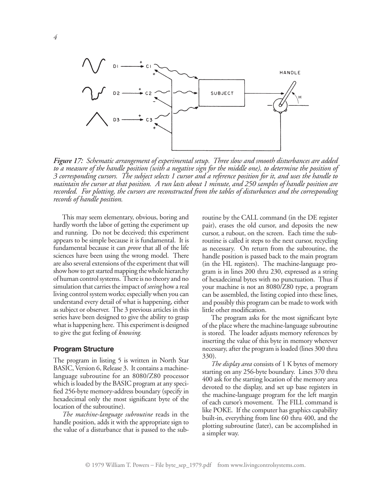

*Figure 17: Schematic arrangement of experimental setup. Three slow and smooth disturbances are added* to a measure of the handle position (with a negative sign for the middle one), to determine the position of *3 corresponding cursors. The subject selects 1 cursor and a reference position for it, and uses the handle to maintain the cursor at that position. A run lasts about 1 minute, and 250 samples of handle position are recorded. For plotting, the cursors are reconstructed from the tables of disturbances and the corresponding records of handle position.*

This may seem elementary, obvious, boring and hardly worth the labor of getting the experiment up and running. Do not be deceived; this experiment appears to be simple because it is fundamental. It is fundamental because it can *prove* that all of the life sciences have been using the wrong model. There are also several extensions of the experiment that will show how to get started mapping the whole hierarchy of human control systems. There is no theory and no simulation that carries the impact of *seeing* how a real living control system works; especially when you can understand every detail of what is happening, either as subject or observer. The 3 previous articles in this series have been designed to give the ability to grasp what is happening here. This experiment is designed to give the gut feeling of *knowing.*

#### **Program Structure**

The program in listing 5 is written in North Star BASIC, Version 6, Release 3. It contains a machinelanguage subroutine for an 8080/Z80 processor which is loaded by the BASIC program at any specified 256-byte memory-address boundary (specify in hexadecimal only the most significant byte of the location of the subroutine).

*The machine-language subroutine* reads in the handle position, adds it with the appropriate sign to the value of a disturbance that is passed to the subroutine by the CALL command (in the DE register pair), erases the old cursor, and deposits the new cursor, a rubout, on the screen. Each time the subroutine is called it steps to the next cursor, recycling as necessary. On return from the subroutine, the handle position is passed back to the main program (in the HL registers). The machine-language program is in lines 200 thru 230, expressed as a string of hexadecimal bytes with no punctuation. Thus if your machine is not an 8080/Z80 type, a program can be assembled, the listing copied into these lines, and possibly this program can be made to work with little other modification.

The program asks for the most significant byte of the place where the machine-language subroutine is stored. The loader adjusts memory references by inserting the value of this byte in memory wherever necessary, after the program is loaded (lines 300 thru 330).

*The display area* consists of 1 K bytes of memory starting on any 256-byte boundary. Lines 370 thru 400 ask for the starting location of the memory area devoted to the display, and set up base registers in the machine-language program for the left margin of each cursor's movement. The FILL command is like POKE. If the computer has graphics capability built-in, everything from line 60 thru 400, and the plotting subroutine (later), can be accomplished in a simpler way.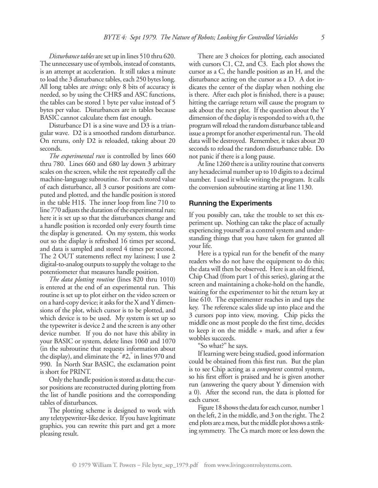*Disturbance tables* are set up in lines 510 thru 620. The unnecessary use of symbols, instead of constants, is an attempt at acceleration. It still takes a minute to load the 3 disturbance tables, each 250 bytes long. All long tables are *strings;* only 8 bits of accuracy is needed, so by using the CHR\$ and ASC functions, the tables can be stored 1 byte per value instead of 5 bytes per value. Disturbances are in tables because BASIC cannot calculate them fast enough.

Disturbance D1 is a sine wave and D3 is a triangular wave. D2 is a smoothed random disturbance. On reruns, only D2 is reloaded, taking about 20 seconds.

*The experimental run* is controlled by lines 660 thru 780. Lines 660 and 680 lay down 3 arbitrary scales on the screen, while the rest repeatedly call the machine-language subroutine. For each stored value of each disturbance, all 3 cursor positions are computed and plotted, and the handle position is stored in the table H1\$. The inner loop from line 710 to line 770 adjusts the duration of the experimental run; here it is set up so that the disturbances change and a handle position is recorded only every fourth time the display is generated. On my system, this works out so the display is refreshed 16 times per second, and data is sampled and stored 4 times per second. The 2 OUT statements reflect my laziness; I use 2 digital-to-analog outputs to supply the voltage to the potentiometer that measures handle position.

*The data plotting routine* (lines 820 thru 1010) is entered at the end of an experimental run. This routine is set up to plot either on the video screen or on a hard-copy device; it asks for the X and Y dimensions of the plot, which cursor is to be plotted, and which device is to be used. My system is set up so the typewriter is device 2 and the screen is any other device number. If you do not have this ability in your BASIC or system, delete lines 1060 and 1070 (in the subroutine that requests information about the display), and eliminate the " #2," in lines 970 and 990. In North Star BASIC, the exclamation point is short for PRINT.

Only the handle position is stored as data; the cursor positions are reconstructed during plotting from the list of handle positions and the corresponding tables of disturbances.

The plotting scheme is designed to work with any teletypewriter-like device. If you have legitimate graphics, you can rewrite this part and get a more pleasing result.

There are 3 choices for plotting, each associated with cursors C1, C2, and C3. Each plot shows the cursor as a C, the handle position as an H, and the disturbance acting on the cursor as a D. A dot indicates the center of the display when nothing else is there. After each plot is finished, there is a pause; hitting the carriage return will cause the program to ask about the next plot. If the question about the Y dimension of the display is responded to with a 0, the program will reload the random disturbance table and issue a prompt for another experimental run. The old data will be destroyed. Remember, it takes about 20 seconds to reload the random disturbance table. Do not panic if there is a long pause.

At line 1260 there is a utility routine that converts any hexadecimal number up to 10 digits to a decimal number. I used it while writing the program. It calls the conversion subroutine starting at line 1130.

#### **Running the Experiments**

If you possibly can, take the trouble to set this experiment up. Nothing can take the place of actually experiencing yourself as a control system and understanding things that you have taken for granted all your life.

Here is a typical run for the benefit of the many readers who do not have the equipment to do this; the data will then be observed. Here is an old friend, Chip Chad (from part 1 of this series), glaring at the screen and maintaining a choke-hold on the handle, waiting for the experimenter to hit the return key at line 610. The experimenter reaches in and taps the key. The reference scales slide up into place and the 3 cursors pop into view, moving. Chip picks the middle one as most people do the first time, decides to keep it on the middle + mark, and after a few wobbles succeeds.

"So what?" he says.

If learning were being studied, good information could be obtained from this first run. But the plan is to see Chip acting as a *competent* control system, so his first effort is praised and he is given another run (answering the query about Y dimension with a 0). After the second run, the data is plotted for each cursor.

Figure 18 shows the data for each cursor, number 1 on the left, 2 in the middle, and 3 on the right. The 2 end plots are a mess, but the middle plot shows a striking symmetry. The Cs march more or less down the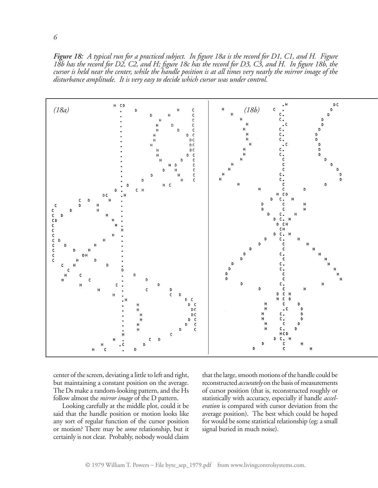*Figure 18: A typical run for a practiced subject. In figure 18a is the record for D1, C1, and H. Figure* 18b has the record for D2, C2, and H; figure 18c has the record for D3, C3, and H. In figure 18b, the cursor is held near the center, while the handle position is at all times very nearly the mirror image of the *disturbance amplitude. It is very easy to decide which cursor was under control.*



center of the screen, deviating a little to left and right, but maintaining a constant position on the average. The Ds make a random-looking pattern, and the Hs follow almost the *mirror image* of the D pattern.

Looking carefully at the middle plot, could it be said that the handle position or motion looks like any sort of regular function of the cursor position or motion? There may be *some* relationship, but it certainly is not clear. Probably, nobody would claim

that the large, smooth motions of the handle could be reconstructed *accurately* on the basis of measurements of cursor position (that is, reconstructed roughly or statistically with accuracy, especially if handle *acceleration* is compared with cursor deviation from the average position). The best which could be hoped for would be some statistical relationship (eg: a small signal buried in much noise).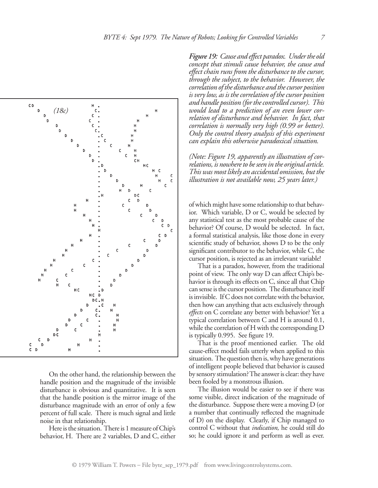

On the other hand, the relationship between the handle position and the magnitude of the invisible disturbance is obvious and quantitative. It is seen that the handle position is the mirror image of the disturbance magnitude with an error of only a few percent of full scale. There is much signal and little noise in that relationship.

Here is the situation. There is 1 measure of Chip's behavior, H. There are 2 variables, D and C, either *Figure 19: Cause and effect paradox. Underthe old concept that stimuli cause behavior, the cause and effect chain runs from the disturbance to the cursor, through the subject, to the behavior. However, the correlation ofthe disturbance and thecursor position is verylow, as is thecorrelation of thecursor position and handle position (forthecontrolled cursor). This would lead to a prediction of an even lower correlation of disturbance and behavior. In fact, that correlation is normally very high (0.99 or better). Only the control theory analysis of this experiment can explain this otherwise paradoxical situation.*

*(Note: Figure 19, apparently an illustration of correlations, is nowhereto beseen in the original article. Thiswas most likely an accidental omission, but the illustration is not available now, 25 years later.)*

of which might have some relationship to that behavior. Which variable, D or C, would be selected by any statistical test as the most probable cause of the behavior? Of course, D would be selected. In fact, a formal statistical analysis, like those done in every scientific study of behavior, shows D to be the only significant contributor to the behavior, while C, the cursor position, is rejected as an irrelevant variable!

That is a paradox, however, from the traditional point of view. The only way D can affect Chip's behavior is through its effects on C, since all that Chip can sense is the cursor position. The disturbance itself is invisible. If C does not correlate with the behavior, then how can anything that acts exclusively through *effects* on C correlate any better with behavior? Yet a typical correlation between C and H is around 0.1, while the correlation of H with the corresponding D is typically 0.995. See figure 19.

That is the proof mentioned earlier. The old cause-effect model fails utterly when applied to this situation. The question then is, why have generations of intelligent people believed that behavior is caused by sensory stimulation? The answer is clear: they have been fooled by a monstrous illusion.

The illusion would be easier to see if there was some visible, direct indication of the magnitude of the disturbance. Suppose there were a moving D (or a number that continually reflected the magnitude of D) on the display. Clearly, if Chip managed to control C without that *indication,* he could still do so; he could ignore it and perform as well as ever.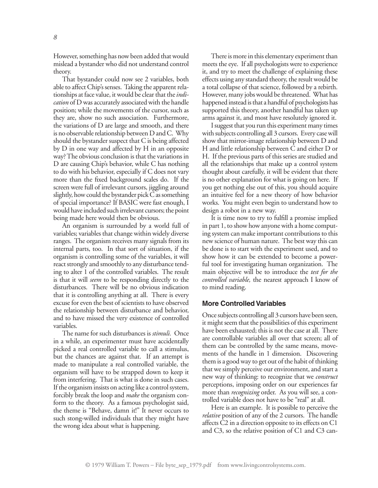However, something has now been added that would mislead a bystander who did not understand control theory.

That bystander could now see 2 variables, both able to affect Chip's senses. Taking the apparent relationships at face value, it would be clear that the *indication* of D was accurately associated with the handle position; while the movements of the cursor, such as they are, show no such association. Furthermore, the variations of D are large and smooth, and there is no observable relationship between D and C. Why should the bystander suspect that C is being affected by D in one way and affected by H in an opposite way? The obvious conclusion is that the variations in D are causing Chip's behavior, while C has nothing to do with his behavior, especially if C does not vary more than the fixed background scales do. If the screen were full of irrelevant cursors, jiggling around slightly, how could the bystander pick C as something of special importance? If BASIC were fast enough, I would have included such irrelevant cursors; the point being made here would then be obvious.

An organism is surrounded by a world full of variables; variables that change within widely diverse ranges. The organism receives many signals from its internal parts, too. In that sort of situation, if the organism is controlling some of the variables, it will react strongly and smoothly to any disturbance tending to alter 1 of the controlled variables. The result is that it will *seem* to be responding directly to the disturbances. There will be no obvious indication that it is controlling anything at all. There is every excuse for even the best of scientists to have observed the relationship between disturbance and behavior, and to have missed the very existence of controlled variables.

The name for such disturbances is *stimuli.* Once in a while, an experimenter must have accidentally picked a real controlled variable to call a stimulus, but the chances are against that. If an attempt is made to manipulate a real controlled variable, the organism will have to be strapped down to keep it from interfering. That is what is done in such cases. If the organism insists on acting like a control system, forcibly break the loop and *make* the organism conform to the theory. As a famous psychologist said, the theme is "Behave, damn it!" It never occurs to such stong-willed individuals that they might have the wrong idea about what is happening.

There is more in this elementary experiment than meets the eye. If all psychologists were to experience it, and try to meet the challenge of explaining these effects using any standard theory, the result would be a total collapse of that science, followed by a rebirth. However, many jobs would be threatened. What has happened instead is that a handful of psychologists has supported this theory, another handful has taken up arms against it, and most have resolutely ignored it.

I suggest that you run this experiment many times with subjects controlling all 3 cursors. Every case will show that mirror-image relationship between D and H and little relationship between C and either D or H. If the previous parts of this series are studied and all the relationships that make up a control system thought about carefully, it will be evident that there is no other explanation for what is going on here. If you get nothing else out of this, you should acquire an intuitive feel for a new theory of how behavior works. You might even begin to understand how to design a robot in a new way.

It is time now to try to fulfill a promise implied in part 1, to show how anyone with a home computing system can make important contributions to this new science of human nature. The best way this can be done is to start with the experiment used, and to show how it can be extended to become a powerful tool for investigating human organization. The main objective will be to introduce the *test for the controlled variable,* the nearest approach I know of to mind reading.

#### **More Controlled Variables**

Once subjects controlling all 3 cursors have been seen, it might seem that the possibilities of this experiment have been exhausted; this is not the case at all. There are controllable variables all over that screen; all of them can be controlled by the same means, movements of the handle in 1 dimension. Discovering them is a good way to get out of the habit of thinking that we simply perceive our environment, and start a new way of thinking: to recognize that we *construct* perceptions, imposing order on our experiences far more than *recognizing* order. As you will see, a controlled variable does not have to be "real" at all.

Here is an example. It is possible to perceive the *relative* position of any of the 2 cursors. The handle affects C2 in a direction opposite to its effects on C1 and C3, so the relative position of C1 and C3 can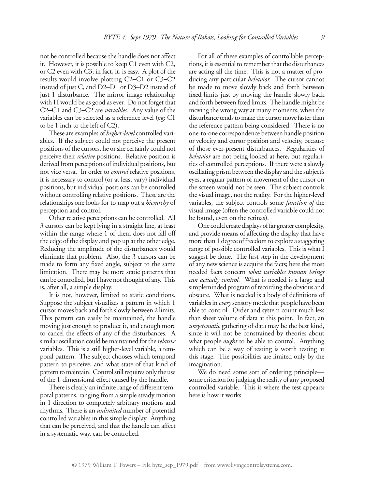not be controlled because the handle does not affect it. However, it is possible to keep C1 even with C2, or C2 even with C3; in fact, it, is easy. A plot of the results would involve plotting C2–C1 or C3–C2 instead of just C, and D2–D1 or D3–D2 instead of just 1 disturbance. The mirror image relationship with H would be as good as ever. Do not forget that C2–C1 and C3–C2 are *variables.* Any value of the variables can be selected as a reference level (eg: C1 to be 1 inch to the left of C2).

These are examples of *higher-level* controlled variables. If the subject could not perceive the present positions of the cursors, he or she certainly could not perceive their *relative* positions. Relative position is derived from perceptions of individual positions, but not vice versa. In order to *control* relative positions, it is necessary to control (or at least vary) individual positions, but individual positions can be controlled without controlling relative positions. These are the relationships one looks for to map out a *hierarchy* of perception and control.

Other relative perceptions can be controlled. All 3 cursors can be kept lying in a straight line, at least within the range where 1 of them does not fall off the edge of the display and pop up at the other edge. Reducing the amplitude of the disturbances would eliminate that problem. Also, the 3 cursors can be made to form any fixed angle, subject to the same limitation. There may be more static patterns that can be controlled, but I have not thought of any. This is, after all, a simple display.

It is not, however, limited to static conditions. Suppose the subject visualizes a pattern in which 1 cursor moves back and forth slowly between 2 limits. This pattern can easily be maintained, the handle moving just enough to produce it, and enough more to cancel the effects of any of the disturbances. A similar oscillation could be maintained for the *relative* variables. This is a still higher-level variable, a temporal pattern. The subject chooses which temporal pattern to perceive, and what state of that kind of pattern to maintain. Control still requires only the use of the 1-dimensional effect caused by the handle.

There is clearly an infinite range of different temporal patterns, ranging from a simple steady motion in 1 direction to completely arbitrary motions and rhythms. There is an *unlimited* number of potential controlled variables in this simple display. Anything that can be perceived, and that the handle can affect in a systematic way, can be controlled.

For all of these examples of controllable perceptions, it is essential to remember that the disturbances are acting all the time. This is not a matter of producing any particular *behavior.* The cursor cannot be made to move slowly back and forth between fixed limits just by moving the handle slowly back and forth between fixed limits. The handle might be moving the wrong way at many moments, when the disturbance tends to make the cursor move faster than the reference pattern being considered. There is no one-to-one correspondence between handle position or velocity and cursor position and velocity, because of those ever-present disturbances. Regularities of *behavior* are not being looked at here, but regularities of controlled perceptions. If there were a slowly oscillating prism between the display and the subject's eyes, a regular pattern of movement of the cursor on the screen would not be seen. The subject controls the visual image, not the reality. For the higher-level variables, the subject controls some *function of* the visual image (often the controlled variable could not be found, even on the retinas).

One could create displays of far greater complexity, and provide means of affecting the display that have more than 1 degree of freedom to explore a staggering range of possible controlled variables. This is what I suggest be done. The first step in the development of any new science is acquire the facts; here the most needed facts concern *what variables human beings can actually control.* What is needed is a large and simpleminded program of recording the obvious and obscure. What is needed is a body of definitions of variables in *every*sensory mode that people have been able to control. Order and system count much less than sheer volume of data at this point. In fact, an *unsystematic* gathering of data may be the best kind, since it will not be constrained by theories about what people *ought* to be able to control. Anything which can be a way of testing is worth testing at this stage. The possibilities are limited only by the imagination.

We do need some sort of ordering principle some criterion for judging the reality of any proposed controlled variable. This is where the test appears; here is how it works.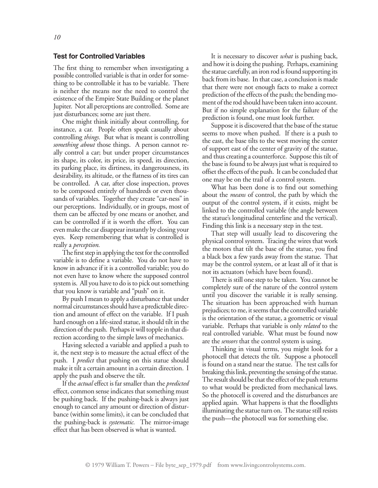#### **Test for Controlled Variables**

The first thing to remember when investigating a possible controlled variable is that in order for something to be controllable it has to be variable. There is neither the means nor the need to control the existence of the Empire State Building or the planet Jupiter. Not all perceptions are controlled. Some are just disturbances; some are just there.

One might think initially about controlling, for instance, a car. People often speak casually about controlling *things.* But what is meant is controlling *something about* those things. A person cannot really control a car; but under proper circumstances its shape, its color, its price, its speed, its direction, its parking place, its dirtiness, its dangerousness, its desirability, its altitude, or the flatness of its tires can be controlled. A car, after close inspection, proves to be composed entirely of hundreds or even thousands of variables. Together they create "car-ness" in our perceptions. Individually, or in groups, most of them can be affected by one means or another, and can be controlled if it is worth the effort. You can even make the car disappear instantly by closing your eyes. Keep remembering that what is controlled is really a *perception.*

The first step in applying the test for the controlled variable is to define a variable. You do not have to know in advance if it is a controlled variable; you do not even have to know where the supposed control system is. All you have to do is to pick out something that you know is variable and "push" on it.

By push I mean to apply a disturbance that under normal circumstances should have a predictable direction and amount of effect on the variable. If I push hard enough on a life-sized statue, it should tilt in the direction of the push. Perhaps it will topple in that direction according to the simple laws of mechanics.

Having selected a variable and applied a push to it, the next step is to measure the actual effect of the push. I *predict* that pushing on this statue should make it tilt a certain amount in a certain direction. I apply the push and observe the tilt.

If the *actual*effect is far smaller than the *predicted* effect, common sense indicates that something must be pushing back. If the pushing-back is always just enough to cancel any amount or direction of disturbance (within some limits), it can be concluded that the pushing-back is *systematic.* The mirror-image effect that has been observed is what is wanted.

It is necessary to discover *what* is pushing back, and how it is doing the pushing. Perhaps, examining the statue carefully, an iron rod is found supporting its back from its base. In that case, a conclusion is made that there were not enough facts to make a correct prediction of the effects of the push; the bending moment of the rod should have been taken into account. But if no simple explanation for the failure of the prediction is found, one must look further.

Suppose it is discovered that the base of the statue seems to move when pushed. If there is a push to the east, the base tilts to the west moving the center of support east of the center of gravity of the statue, and thus creating a counterforce. Suppose this tilt of the base is found to be always just what is required to offset the effects of the push. It can be concluded that one may be on the trail of a control system.

What has been done is to find out something about the *means* of control, the path by which the output of the control system, if it exists, might be linked to the controlled variable (the angle between the statue's longitudinal centerline and the vertical). Finding this link is a necessary step in the test.

That step will usually lead to discovering the physical control system. Tracing the wires that work the motors that tilt the base of the statue, you find a black box a few yards away from the statue. That may be the control system, or at least all of it that is not its actuators (which have been found).

There is still one step to be taken. You cannot be completely sure of the nature of the control system until you discover the variable it is really sensing. The situation has been approached with human prejudices; to me, it seems that the controlled variable is the orientation of the statue, a geometric or visual variable. Perhaps that variable is only *related* to the real controlled variable. What must be found now are the *sensors* that the control system is using.

Thinking in visual terms, you might look for a photocell that detects the tilt. Suppose a photocell is found on a stand near the statue. The test calls for breaking this link, preventing the sensing of the statue. The result should be that the effect of the push returns to what would be predicted from mechanical laws. So the photocell is covered and the disturbances are applied again. What happens is that the floodlights illuminating the statue turn on. The statue still resists the push—the photocell was for something else.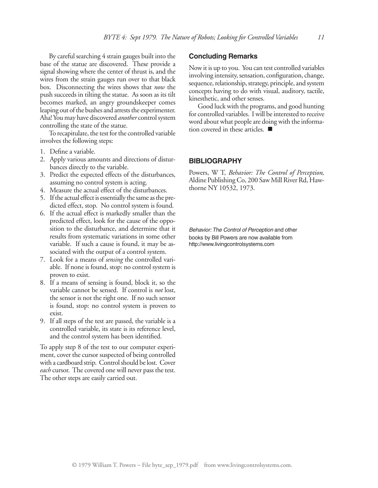By careful searching 4 strain gauges built into the base of the statue are discovered. These provide a signal showing where the center of thrust is, and the wires from the strain gauges run over to that black box. Disconnecting the wires shows that *now* the push succeeds in tilting the statue. As soon as its tilt becomes marked, an angry groundskeeper comes leaping out of the bushes and arrests the experimenter. Aha! You may have discovered *another* control system controlling the state of the statue.

To recapitulate, the test for the controlled variable involves the following steps:

- 1. Define a variable.
- 2. Apply various amounts and directions of disturbances directly to the variable.
- 3. Predict the expected effects of the disturbances, assuming no control system is acting.
- 4. Measure the actual effect of the disturbances.
- 5. If the actual effect is essentially the same as the predicted effect, stop. No control system is found.
- 6. If the actual effect is markedly smaller than the predicted effect, look for the cause of the opposition to the disturbance, and determine that it results from systematic variations in some other variable. If such a cause is found, it may be associated with the output of a control system.
- 7. Look for a means of *sensing* the controlled variable. If none is found, stop: no control system is proven to exist.
- 8. If a means of sensing is found, block it, so the variable cannot be sensed. If control is *not* lost, the sensor is not the right one. If no such sensor is found, stop: no control system is proven to exist.
- 9. If all steps of the test are passed, the variable is a controlled variable, its state is its reference level, and the control system has been identified.

To apply step 8 of the test to our computer experiment, cover the cursor suspected of being controlled with a cardboard strip. Control should be lost. Cover *each* cursor. The covered one will never pass the test. The other steps are easily carried out.

#### **Concluding Remarks**

Now it is up to you. You can test controlled variables involving intensity, sensation, configuration, change, sequence, relationship, strategy, principle, and system concepts having to do with visual, auditory, tactile, kinesthetic, and other senses.

Good luck with the programs, and good hunting for controlled variables. I will be interested to receive word about what people are doing with the information covered in these articles.

#### **BIBLIOGRAPHY**

Powers, W T, *Behavior: The Control of Perception,* Aldine Publishing Co, 200 Saw Mill River Rd, Hawthorne NY 10532, 1973.

*Behavior: The Control of Perception* and other books by Bill Powers are now available from http://www.livingcontrolsystems.com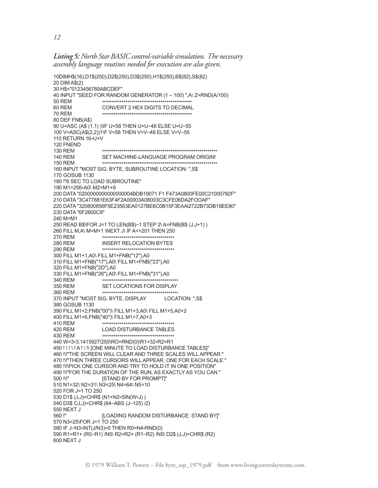*Listing 5: North StarBASICcontrol-variablesimulation. The necessary assembly language routines needed for execution are also given.*

```
10DIMH$(16),D1$(250),D2$(250),D3$(250),H1$(250),B$(82),S$(82)
20 DIM A$(2)
30 H$="0123456789ABCDEF"
40 INPUT "SEED FOR RANDOM GENERATOR (1 – 100) ",A\ Z=RND(A/100)
50 REM ********************************************** 60 REM CONVERT 2 HEX DIGITS TO DECIMAL
70 REM ********************************************** 80 DEF FNB(A$)
90 U=ASC (A$ (1,1) )\IF U<58 THEN U=U–48 ELSE U=U–55 
100 V=ASC(A$(2,2))1\F V<58 THEN V=V–48 ELSE V=V–55 
110 RETURN 16*U+V
120 FNEND
130 REM *********************************************************** 140 REM SET MACHINE-LANGUAGE PROGRAM ORIGIN!
150 REM *********************************************************** 160 INPUT "MOST SIG. BYTE, SUBROUTINE LOCATION: ",S$
170 GOSUB 1130
180 !"6 SEC TO LOAD SUBROUTINE"
190 M1=256*A0\ M2=M1+9
200 DATA "0200000000000000004BDB19071 F1 F473A0800FE00C21000782F" 
210 DATA "3C477881E63F4F2A00003A08003C3CFE06DA2FOOAF"
220 DATA "320800856F5E23563EA0127BE6C0B15F3EAAl2722B73DB19EE80" 
230 DATA "6F2600C9"
240 M=M1
250 READ B$\FOR J=1 TO LEN(B$)–1 STEP 2\ A=FNB(B$ (J,J+1) ) 
260 FILL M,A\ M=M+1 \NEXT J\ IF A<>201 THEN 250
270 REM ************************************* 280 REM INSERT RELOCATION BYTES
290 REM ************************************* 300 FILL M1+1,A0\ FILL M1+FNB("12"),A0
310 FILL M1+FNB("17"),A0\ FILL M1+FNB("23"),A0 
320 FILL M1+FNB("2D"),A0
330 FILL M1+FNB("26"),A0\ FILL M1+FNB("31"),A0
340 REM *************************************** 350 REM SET LOCATIONS FOR DISPLAY
360 REM *************************************** 370 INPUT "MOST SIG. BYTE, DISPLAY LOCATION: ",S$ 
380 GOSUB 1130
390 FILL M1+2,FNB("00")\ FILL M1+3,A0\ FILL M1+5,A0+2 
400 FILL M1+6,FNB("40")\ FILL M1+7,A0+3
410 REM ************************************* 420 REM LOAD DISTURBANCE TABLES
430 REM ************************************* 440 W=3*3.1415927/250\RO=RND(0)\R1=32*R2=R1
450 ! \ ! \ ! A ! \ !\ [ONE MINUTE TO LOAD DISTURBANCE TABLES]" 
460 !\!"THE SCREEN WILL CLEAR AND THREE SCALES WILL APPEAR." 
470 !\!"THEN THREE CURSORS WILL APPEAR, ONE FOR EACH SCALE." 
480 !\!\PICK ONE CURSOR AND TRY TO HOLD IT IN ONE POSITION"
490 !\!"FOR THE DURATION OF THE RUN, AS EXACTLY AS YOU CAN." 
500 !\!" [STAND BY FOR PROMPT]"
510 N1=32\ N2=31\ N3=25\ N4=64\ N5=10
520 FOR J=1 TO 250
530 D1$ (J,J)=CHR$ (N1+N2*SIN(W*J) )
540 D3$ CJ,J)=CHR$ (64–ABS (J–125) /2)
550 NEXT J
560 !" [LOADING RANDOM DISTURBANCE: STAND BY]"
570 N3=25\FOR J=1 TO 250
580 IF J–N3*INT(J/N3)=0 THEN R0=N4*RND(0)
590 R1=R1+ (R0–R1) /N5\ R2=R2+ (R1–R2) /N5\ D2$ (J,J)=CHR$ (R2) 
600 NEXT J
```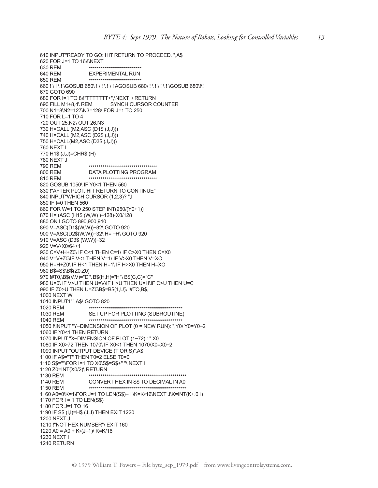610 INPUT"READY TO GO: HIT RETURN TO PROCEED. ",A\$ 620 FOR J=1 TO 16\!\NEXT 630 REM \*\*\*\*\*\*\*\*\*\*\*\*\*\*\*\*\*\*\*\*\*\*\*\*\*\*\* 640 REM EXPERIMENTAL RUN 650 REM \*\*\*\*\*\*\*\*\*\*\*\*\*\*\*\*\*\*\*\*\*\*\*\*\*\*\* 660 ! \ ! \ ! \GOSUB 680\ ! \ ! \ ! \ ! AGOSUB 680\ ! \ ! \ ! \ ! \GOSUB 680\!\! 670 GOTO 690 680 FOR I=1 TO 8\!"TTTTTTT+",\NEXT I\ RETURN 690 FILL M1+8,4\ REM SYNCH CURSOR COUNTER 700 N1=8\N2=127\N3=128\ FOR J=1 TO 250 710 FOR L=1 TO 4 720 OUT 25,N2\ OUT 26,N3 730 H=CALL (M2,ASC (D1\$ (J,J))) 740 H=CALL (M2,ASC (D2\$ (J,J))) 750 H=CALL(M2,ASC (D3\$ (J,J))) 760 NEXT L 770 H1\$ (J,J)=CHR\$ (H) 780 NEXT J 790 REM \*\*\*\*\*\*\*\*\*\*\*\*\*\*\*\*\*\*\*\*\*\*\*\*\*\*\*\*\*\*\*\*\*\*\* 800 REM DATA PLOTTING PROGRAM 810 REM \*\*\*\*\*\*\*\*\*\*\*\*\*\*\*\*\*\*\*\*\*\*\*\*\*\*\*\*\*\*\*\*\*\*\* 820 GOSUB 1050\ IF Y0<1 THEN 560 830 !"AFTER PLOT, HIT RETURN TO CONTINUE" 840 INPUT"WHICH CURSOR (1,2,3)? ",I 850 IF I=0 THEN 560 860 FOR W=1 TO 250 STEP INT(250/(Y0+1)) 870 H= (ASC (H1\$ (W,W) )–128)\*X0/128 880 ON I GOTO 890,900,910 890 V=ASC(D1\$(W,W))–32\ GOTO 920 900 V=ASC(D2\$(W,W))–32\ H= –H\ GOTO 920 910 V=ASC (D3\$ (W,W))–32 920 V=V\*X0/64+1 930 C=V+H+Z0\ IF C<1 THEN C=1\ IF C>X0 THEN C=X0 940 V=V+Z0\IF V<1 THEN V=1\ IF V>X0 THEN V=XO 950 H=H+Z0\ IF H<1 THEN H=1\ IF H>X0 THEN H=XO 960 B\$=S\$\B\$(Z0,Z0) 970 !#T0,\B\$(V,V)="D"\ B\$(H,H)="H"\ B\$(C,C)="C" 980 U=0\ IF V>U THEN U=V\IF H>U THEN U=H\IF C>U THEN U=C 990 IF Z0>U THEN U=Z0\B\$=B\$(1,U)\ !#TO,B\$, 1000 NEXT W 1010 INPUT1"",A\$\ GOTO 820 1020 REM \*\*\*\*\*\*\*\*\*\*\*\*\*\*\*\*\*\*\*\*\*\*\*\*\*\*\*\*\*\*\*\*\*\*\*\*\*\*\*\*\*\*\*\*\*\*\*\* 1030 REM SET UP FOR PLOTTING (SUBROUTINE) 1040 REM \*\*\*\*\*\*\*\*\*\*\*\*\*\*\*\*\*\*\*\*\*\*\*\*\*\*\*\*\*\*\*\*\*\*\*\*\*\*\*\*\*\*\*\*\*\*\*\* 1050 !\INPUT "Y–DIMENSION OF PLOT (0 = NEW RUN): ",Y0\ Y0=Y0–2 1060 IF Y0<1 THEN RETURN 1070 INPUT "X–DIMENSION OF PLOT (1–72) : ",X0 1080 IF X0>72 THEN 1070\ IF X0<1 THEN 1070\X0=X0–2 1090 INPUT "OUTPUT DEVICE (T OR S)",A\$ 1100 IF A\$="T" THEN T0=2 ELSE T0=0 1110 S\$=""\FOR I=1 TO X0\S\$=S\$+" "\ NEXT I 1120 Z0=INT(X0/2)\ RETURN 1130 REM \*\*\*\*\*\*\*\*\*\*\*\*\*\*\*\*\*\*\*\*\*\*\*\*\*\*\*\*\*\*\*\*\*\*\*\*\*\*\*\*\*\*\*\*\*\*\*\*\*\* 1140 REM CONVERT HEX IN S\$ TO DECIMAL IN A0 1150 REM \*\*\*\*\*\*\*\*\*\*\*\*\*\*\*\*\*\*\*\*\*\*\*\*\*\*\*\*\*\*\*\*\*\*\*\*\*\*\*\*\*\*\*\*\*\*\*\*\*\* 1160 A0=0\K=1\FOR J=1 TO LEN(S\$)–1 \K=K\*16\NEXT J\K=INT(K+.01) 1170 FOR  $I = 1$  TO LEN(S\$) 1180 FOR J=1 TO 16 1190 IF S\$ (I,I)=H\$ (J,J) THEN EXIT 1220 1200 NEXT J 1210 !"NOT HEX NUMBER"\ EXIT 160 1220 A0 = A0 + K $*(J-1)$ \ K=K/16 1230 NEXT I 1240 RETURN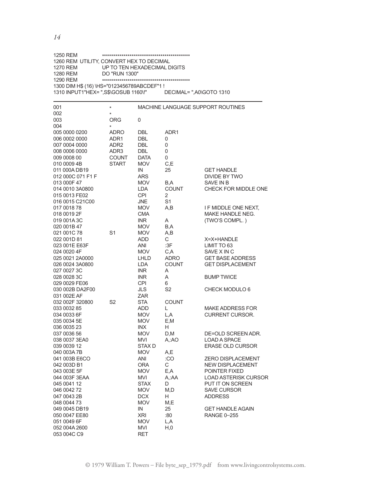1250 REM \*\*\*\*\*\*\*\*\*\*\*\*\*\*\*\*\*\*\*\*\*\*\*\*\*\*\*\*\*\*\*\*\*\*\*\*\*\*\*\*\*\*\*\*\* 1260 REM UTILITY, CONVERT HEX TO DECIMAL 1270 REM UP TO TEN HEXADECIMAL DIGITS 1280 REM DO "RUN 1300" 1300 DIM H\$ (16) \HS="0123456789ABCDEF"1 ! 1310 INPUT1"HEX= ",S\$\GOSUB 1160\!" DECIMAL= ",A0\GOTO 1310

| 001<br>002                                                                                                               | $\star$<br>$^\star$                                      | MACHINE LANGUAGE SUPPORT ROUTINES                                                        |                                                         |                                                                                                                                                          |
|--------------------------------------------------------------------------------------------------------------------------|----------------------------------------------------------|------------------------------------------------------------------------------------------|---------------------------------------------------------|----------------------------------------------------------------------------------------------------------------------------------------------------------|
| 003<br>004                                                                                                               | <b>ORG</b><br>$\star$                                    | 0                                                                                        |                                                         |                                                                                                                                                          |
| 005 0000 0200<br>006 0002 0000<br>007 0004 0000<br>008 0006 0000<br>009 0008 00                                          | ADRO<br>ADR1<br>ADR <sub>2</sub><br>ADR3<br><b>COUNT</b> | DBL<br><b>DBL</b><br><b>DBL</b><br><b>DBL</b><br><b>DATA</b>                             | ADR <sub>1</sub><br>0<br>0<br>0<br>0                    |                                                                                                                                                          |
| 010 0009 4B<br>011 000A DB19<br>012 000C 071 F1 F<br>013 000F 47<br>014 0010 3A0800<br>015 0013 FE02<br>016 0015 C21C00  | <b>START</b>                                             | <b>MOV</b><br>IN<br><b>ARS</b><br><b>MOV</b><br>LDA<br><b>CPI</b><br><b>JNE</b>          | C,E<br>25<br>B,A<br><b>COUNT</b><br>2<br>S <sub>1</sub> | <b>GET HANDLE</b><br>DIVIDE BY TWO<br>SAVE IN B<br>CHECK FOR MIDDLE ONE                                                                                  |
| 017 0018 78<br>018 0019 2F<br>019 001A 3C<br>020 001B 47                                                                 |                                                          | <b>MOV</b><br><b>CMA</b><br><b>INR</b><br><b>MOV</b>                                     | A,B<br>A<br>B,A                                         | I F MIDDLE ONE NEXT,<br>MAKE HANDLE NEG.<br>(TWO'S COMPL.)                                                                                               |
| 021 001C 78<br>022 001D 81<br>023 001E E63F<br>024 0020 4F<br>025 0021 2A0000<br>026 0024 3A0800                         | S <sub>1</sub>                                           | <b>MOV</b><br><b>ADD</b><br>ANI<br><b>MOV</b><br>LHLD<br>LDA                             | A,B<br>С<br>:3F<br>C,A<br>ADRO<br><b>COUNT</b>          | X=X+HANDLE<br>LIMIT TO 63<br>SAVE X IN C<br><b>GET BASE ADDRESS</b><br><b>GET DISPLACEMENT</b>                                                           |
| 027 0027 3C<br>028 0028 3C<br>029 0029 FE06<br>030 002B DA2F00<br>031 002E AF                                            |                                                          | <b>INR</b><br><b>INR</b><br><b>CPI</b><br><b>JLS</b><br><b>ZAR</b>                       | A<br>A<br>6<br>S <sub>2</sub>                           | <b>BUMP TWICE</b><br>CHECK MODULO 6                                                                                                                      |
| 032 002F 320800<br>033 0032 85<br>034 0033 6F<br>035 0034 5E                                                             | S <sub>2</sub>                                           | <b>STA</b><br>ADD<br><b>MOV</b><br><b>MOV</b>                                            | <b>COUNT</b><br>L.<br>L,A<br>E,M<br>H                   | <b>MAKE ADDRESS FOR</b><br><b>CURRENT CURSOR.</b>                                                                                                        |
| 036 0035 23<br>037 0036 56<br>038 0037 3EA0<br>039 0039 12<br>040 003A 7B                                                |                                                          | <b>INX</b><br><b>MOV</b><br><b>MVI</b><br>STAX <sub>D</sub><br><b>MOV</b>                | D, M<br>A.:AO<br>A,E                                    | DE=OLD SCREEN ADR.<br><b>LOAD A SPACE</b><br><b>ERASE OLD CURSOR</b>                                                                                     |
| 041 003B E6CO<br>042 003D B1<br>043 003E 5F<br>044 003F 3EAA<br>045 0041 12<br>046 0042 72<br>047 0043 2B<br>048 0044 73 |                                                          | <b>ANI</b><br><b>ORA</b><br>MOV<br>MVI<br><b>STAX</b><br><b>MOV</b><br><b>DCX</b><br>MOV | :CO<br>С<br>E,A<br>A,:AA<br>D<br>M,D<br>H<br>M,E        | <b>ZERO DISPLACEMENT</b><br>NEW DISPLACEMENT<br>POINTER FIXED<br><b>LOAD ASTERISK CURSOR</b><br>PUT IT ON SCREEN<br><b>SAVE CURSOR</b><br><b>ADDRESS</b> |
| 049 0045 DB19<br>050 0047 EE80<br>051 0049 6F<br>052 004A 2600<br>053 004C C9                                            |                                                          | IN<br><b>XRI</b><br><b>MOV</b><br><b>MVI</b><br>RET                                      | 25<br>:80<br>L,A<br>H, 0                                | <b>GET HANDLE AGAIN</b><br><b>RANGE 0-255</b>                                                                                                            |